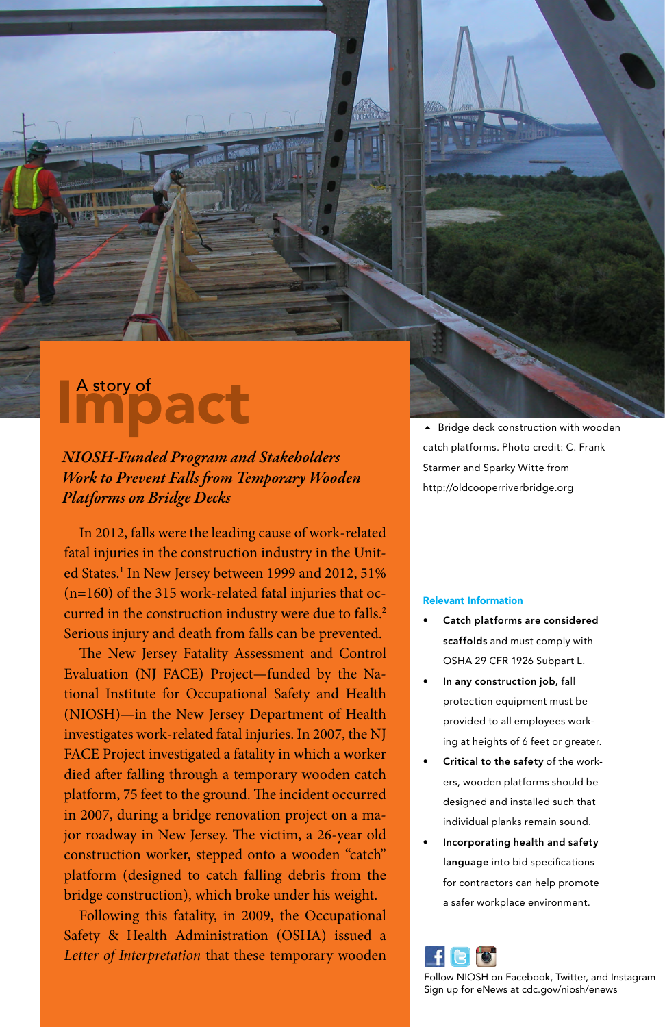# Impact

*NIOSH-Funded Program and Stakeholders Work to Prevent Falls from Temporary Wooden Platforms on Bridge Decks*

In 2012, falls were the leading cause of work-related fatal injuries in the construction industry in the United States.<sup>1</sup> In New Jersey between 1999 and 2012, 51% (n=160) of the 315 work-related fatal injuries that occurred in the construction industry were due to falls.<sup>2</sup> Serious injury and death from falls can be prevented.

The New Jersey Fatality Assessment and Control Evaluation (NJ FACE) Project—funded by the National Institute for Occupational Safety and Health (NIOSH)—in the New Jersey Department of Health investigates work-related fatal injuries. In 2007, the NJ FACE Project investigated a fatality in which a worker died after falling through a temporary wooden catch platform, 75 feet to the ground. The incident occurred in 2007, during a bridge renovation project on a major roadway in New Jersey. The victim, a 26-year old construction worker, stepped onto a wooden "catch" platform (designed to catch falling debris from the bridge construction), which broke under his weight.

Following this fatality, in 2009, the Occupational Safety & Health Administration (OSHA) issued a *Letter of Interpretation* that these temporary wooden ▲ Bridge deck construction with wooden catch platforms. Photo credit: C. Frank Starmer and Sparky Witte from http://oldcooperriverbridge.org

### Relevant Information

- Catch platforms are considered scaffolds and must comply with OSHA 29 CFR 1926 Subpart L.
- In any construction job, fall protection equipment must be provided to all employees working at heights of 6 feet or greater.
- Critical to the safety of the workers, wooden platforms should be designed and installed such that individual planks remain sound.
- Incorporating health and safety language into bid specifications for contractors can help promote a safer workplace environment.



Follow NIOSH on Facebook, Twitter, and Instagram Sign up for eNews at cdc.gov/niosh/enews